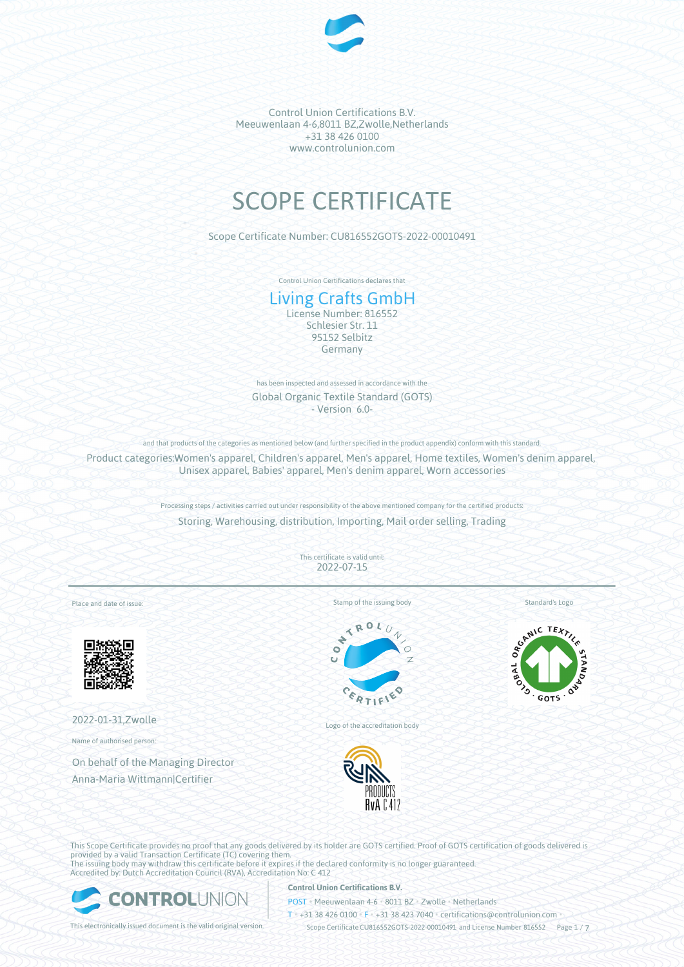

# SCOPE CERTIFICATE

Scope Certificate Number: CU816552GOTS-2022-00010491

Control Union Certifications declares that

# Living Crafts GmbH

License Number: 816552 Schlesier Str. 11 95152 Selbitz Germany

has been inspected and assessed in accordance with the Global Organic Textile Standard (GOTS) - Version 6.0-

and that products of the categories as mentioned below (and further specified in the product appendix) conform with this standard.

Product categories:Women's apparel, Children's apparel, Men's apparel, Home textiles, Women's denim apparel, Unisex apparel, Babies' apparel, Men's denim apparel, Worn accessories

> Processing steps / activities carried out under responsibility of the above mentioned company for the certified products: Storing, Warehousing, distribution, Importing, Mail order selling, Trading

> > This certificate is valid until: 2022-07-15

Place and date of issue:



2022-01-31,Zwolle

Name of authorised person:

On behalf of the Managing Director Anna-Maria Wittmann|Certifier

 $\mathcal{N}_0$ 

Stamp of the issuing body

Standard's Logo



Logo of the accreditation body



This Scope Certificate provides no proof that any goods delivered by its holder are GOTS certified. Proof of GOTS certification of goods delivered is provided by a valid Transaction Certificate (TC) covering them. The issuing body may withdraw this certificate before it expires if the declared conformity is no longer guaranteed. Accredited by: Dutch Accreditation Council (RVA), Accreditation No: C 412



# **Control Union Certifications B.V.**

POST • Meeuwenlaan 4-6 • 8011 BZ • Zwolle • Netherlands

T • +31 38 426 0100 • F • +31 38 423 7040 • certifications@controlunion.com •

This electronically issued document is the valid original version. Scope Certificate CU816552GOTS-2022-00010491 and License Number 816552 Page 1 / 7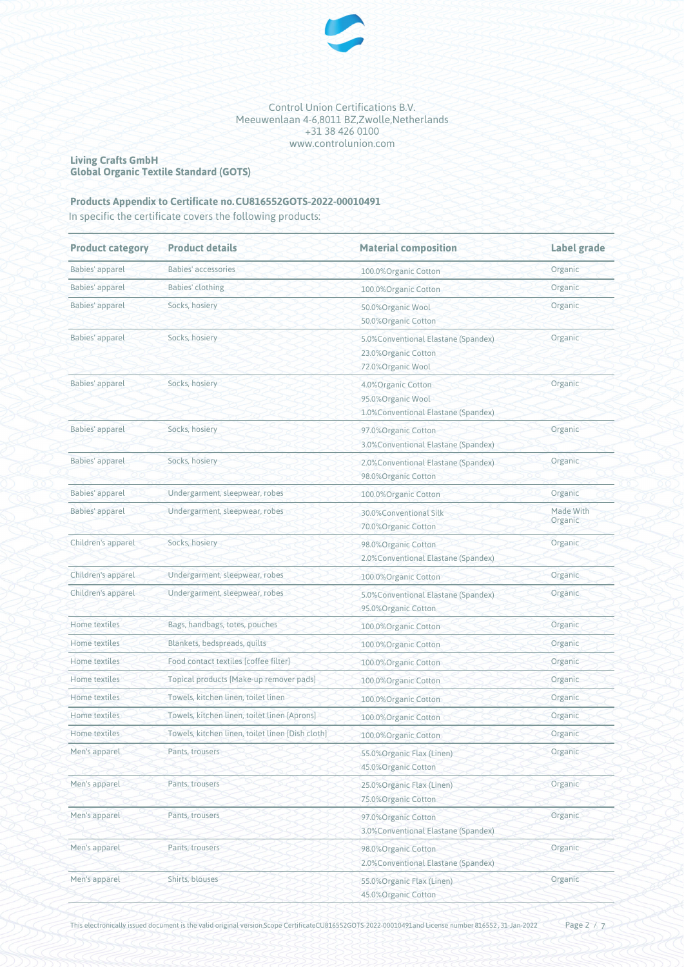

#### **Living Crafts GmbH Global Organic Textile Standard (GOTS)**

# **Products Appendix to Certificate no.CU816552GOTS-2022-00010491**

In specific the certificate covers the following products:

| <b>Product category</b> | <b>Product details</b>                           | <b>Material composition</b>                                                      | Label grade<br>Organic |
|-------------------------|--------------------------------------------------|----------------------------------------------------------------------------------|------------------------|
| Babies' apparel         | Babies' accessories                              | 100.0%Organic Cotton                                                             |                        |
| Babies' apparel         | Babies' clothing                                 | 100.0%Organic Cotton                                                             | Organic                |
| Babies' apparel         | Socks, hosiery                                   | 50.0%Organic Wool<br>50.0%Organic Cotton                                         | Organic                |
| Babies' apparel         | Socks, hosiery                                   | 5.0%Conventional Elastane (Spandex)<br>23.0% Organic Cotton<br>72.0%Organic Wool | Organic                |
| Babies' apparel         | Socks, hosiery                                   | 4.0%Organic Cotton<br>95.0%Organic Wool<br>1.0% Conventional Elastane (Spandex)  | Organic                |
| Babies' apparel         | Socks, hosiery                                   | 97.0%Organic Cotton<br>3.0% Conventional Elastane (Spandex)                      | Organic                |
| Babies' apparel         | Socks, hosiery                                   | 2.0% Conventional Elastane (Spandex)<br>98.0%Organic Cotton                      | Organic                |
| Babies' apparel         | Undergarment, sleepwear, robes                   | 100.0%Organic Cotton                                                             | Organic                |
| Babies' apparel         | Undergarment, sleepwear, robes                   | 30.0%Conventional Silk<br>70.0%Organic Cotton                                    | Made With<br>Organic   |
| Children's apparel      | Socks, hosiery                                   | 98.0%Organic Cotton<br>2.0% Conventional Elastane (Spandex)                      | Organic                |
| Children's apparel      | Undergarment, sleepwear, robes                   | 100.0%Organic Cotton                                                             | Organic                |
| Children's apparel      | Undergarment, sleepwear, robes                   | 5.0% Conventional Elastane (Spandex)<br>95.0% Organic Cotton                     | Organic                |
| Home textiles           | Bags, handbags, totes, pouches                   | 100.0%Organic Cotton                                                             | Organic                |
| Home textiles           | Blankets, bedspreads, quilts                     | 100.0%Organic Cotton                                                             | Organic                |
| Home textiles           | Food contact textiles [coffee filter]            | 100.0%Organic Cotton                                                             | Organic                |
| Home textiles           | Topical products [Make-up remover pads]          | 100.0%Organic Cotton                                                             | Organic                |
| Home textiles           | Towels, kitchen linen, toilet linen              | 100.0%Organic Cotton                                                             | Organic                |
| Home textiles           | Towels, kitchen linen, toilet linen [Aprons]     | 100.0%Organic Cotton                                                             | Organic                |
| Home textiles           | Towels, kitchen linen, toilet linen [Dish cloth] | 100.0%Organic Cotton                                                             | Organic                |
| Men's apparel           | Pants, trousers                                  | 55.0%Organic Flax (Linen)<br>45.0%Organic Cotton                                 | Organic                |
| Men's apparel           | Pants, trousers                                  | 25.0%Organic Flax (Linen)<br>75.0%Organic Cotton                                 | Organic                |
| Men's apparel           | Pants, trousers                                  | 97.0%Organic Cotton<br>3.0% Conventional Elastane (Spandex)                      | Organic                |
| Men's apparel           | Pants, trousers                                  | 98.0% Organic Cotton<br>2.0% Conventional Elastane (Spandex)                     | Organic                |
| Men's apparel           | Shirts, blouses                                  | 55.0% Organic Flax (Linen)<br>45.0%Organic Cotton                                | Organic                |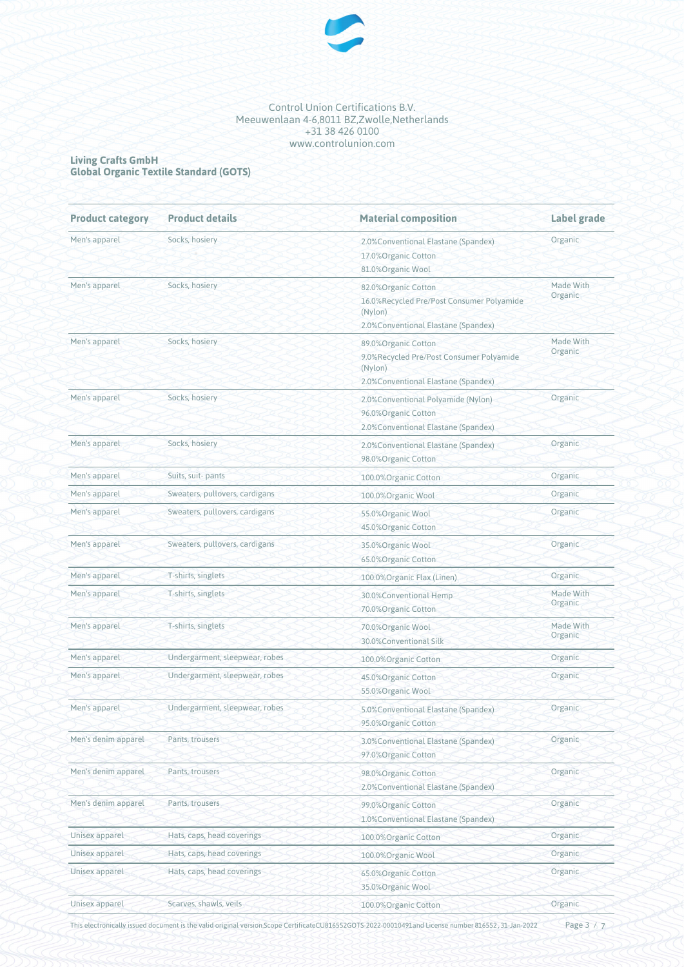

#### **Living Crafts GmbH Global Organic Textile Standard (GOTS)**

| <b>Product category</b> | <b>Product details</b>         | <b>Material composition</b>                                                                                         | Label grade          |
|-------------------------|--------------------------------|---------------------------------------------------------------------------------------------------------------------|----------------------|
| Men's apparel           | Socks, hosiery                 | 2.0%Conventional Elastane (Spandex)<br>17.0%Organic Cotton<br>81.0%Organic Wool                                     | Organic              |
| Men's apparel           | Socks, hosiery                 | 82.0%Organic Cotton<br>16.0%Recycled Pre/Post Consumer Polyamide<br>(Nylon)<br>2.0% Conventional Elastane (Spandex) | Made With<br>Organic |
| Men's apparel           | Socks, hosiery                 | 89.0%Organic Cotton<br>9.0%Recycled Pre/Post Consumer Polyamide<br>(Nylon)<br>2.0% Conventional Elastane (Spandex)  | Made With<br>Organic |
| Men's apparel           | Socks, hosiery                 | 2.0% Conventional Polyamide (Nylon)<br>96.0%Organic Cotton<br>2.0% Conventional Elastane (Spandex)                  | Organic              |
| Men's apparel           | Socks, hosiery                 | 2.0% Conventional Elastane (Spandex)<br>98.0%Organic Cotton                                                         | Organic              |
| Men's apparel           | Suits, suit-pants              | 100.0%Organic Cotton                                                                                                | Organic              |
| Men's apparel           | Sweaters, pullovers, cardigans | 100.0%Organic Wool                                                                                                  | Organic              |
| Men's apparel           | Sweaters, pullovers, cardigans | 55.0% Organic Wool<br>45.0%Organic Cotton                                                                           | Organic              |
| Men's apparel           | Sweaters, pullovers, cardigans | 35.0%Organic Wool<br>65.0% Organic Cotton                                                                           | Organic              |
| Men's apparel           | T-shirts, singlets             | 100.0% Organic Flax (Linen)                                                                                         | Organic              |
| Men's apparel           | T-shirts, singlets             | 30.0%Conventional Hemp<br>70.0%Organic Cotton                                                                       | Made With<br>Organic |
| Men's apparel           | T-shirts, singlets             | 70.0%Organic Wool<br>30.0%Conventional Silk                                                                         | Made With<br>Organic |
| Men's apparel           | Undergarment, sleepwear, robes | 100.0%Organic Cotton                                                                                                | Organic              |
| Men's apparel           | Undergarment, sleepwear, robes | 45.0%Organic Cotton<br>55.0%Organic Wool                                                                            | Organic              |
| Men's apparel           | Undergarment, sleepwear, robes | 5.0% Conventional Elastane (Spandex)<br>95.0%Organic Cotton                                                         | Organic              |
| Men's denim apparel     | Pants, trousers                | 3.0% Conventional Elastane (Spandex)<br>97.0%Organic Cotton                                                         | Organic              |
| Men's denim apparel     | Pants, trousers                | 98.0%Organic Cotton<br>2.0% Conventional Elastane (Spandex)                                                         | Organic              |
| Men's denim apparel     | Pants, trousers                | 99.0%Organic Cotton<br>1.0% Conventional Elastane (Spandex)                                                         | Organic              |
| Unisex apparel          | Hats, caps, head coverings     | 100.0%Organic Cotton                                                                                                | Organic              |
| Unisex apparel          | Hats, caps, head coverings     | 100.0%Organic Wool                                                                                                  | Organic              |
| Unisex apparel          | Hats, caps, head coverings     | 65.0%Organic Cotton<br>35.0%Organic Wool                                                                            | Organic              |
| Unisex apparel          | Scarves, shawls, veils         | 100.0%Organic Cotton                                                                                                | Organic              |

This electronically issued document is the valid original version.Scope CertificateCU816552GOTS-2022-00010491and License number 816552, 31-Jan-2022

Page 3 / 7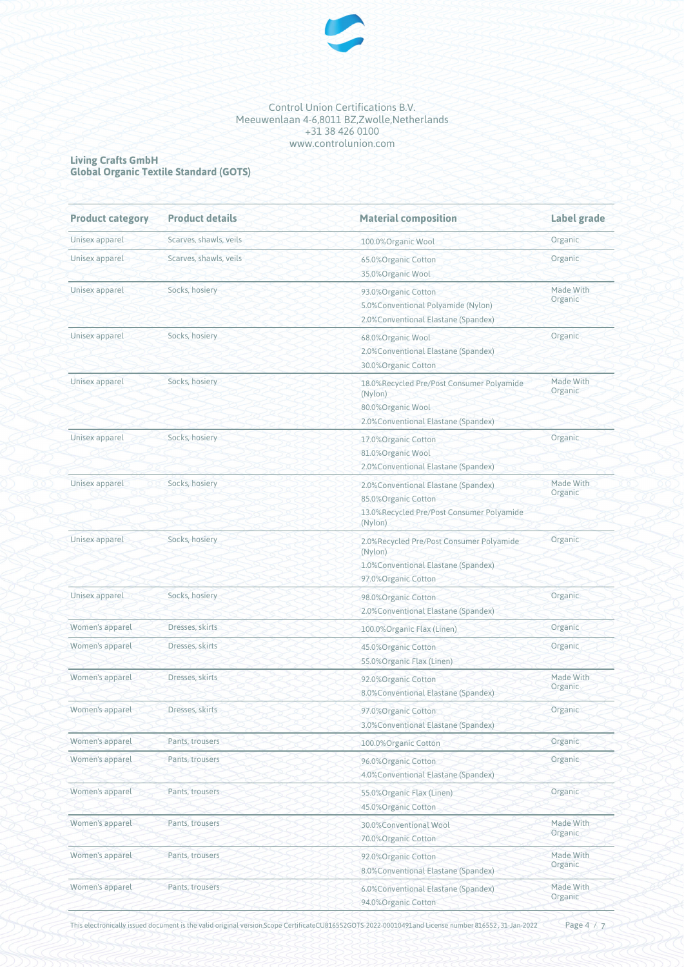

#### **Living Crafts GmbH Global Organic Textile Standard (GOTS)**

| <b>Product category</b> | <b>Product details</b> | <b>Material composition</b>                                                                                         | Label grade          |  |
|-------------------------|------------------------|---------------------------------------------------------------------------------------------------------------------|----------------------|--|
| Unisex apparel          | Scarves, shawls, veils | 100.0%Organic Wool                                                                                                  | Organic              |  |
| Unisex apparel          | Scarves, shawls, veils | 65.0%Organic Cotton<br>35.0%Organic Wool                                                                            | Organic              |  |
| Unisex apparel          | Socks, hosiery         | 93.0% Organic Cotton<br>5.0%Conventional Polyamide (Nylon)<br>2.0% Conventional Elastane (Spandex)                  | Made With<br>Organic |  |
| Unisex apparel          | Socks, hosiery         | 68.0%Organic Wool<br>2.0% Conventional Elastane (Spandex)<br>30.0% Organic Cotton                                   | Organic              |  |
| Unisex apparel          | Socks, hosiery         | 18.0%Recycled Pre/Post Consumer Polyamide<br>(Nylon)<br>80.0%Organic Wool<br>2.0% Conventional Elastane (Spandex)   | Made With<br>Organic |  |
| Unisex apparel          | Socks, hosiery         | 17.0%Organic Cotton<br>81.0%Organic Wool<br>2.0% Conventional Elastane (Spandex)                                    | Organic              |  |
| Unisex apparel          | Socks, hosiery         | 2.0% Conventional Elastane (Spandex)<br>85.0%Organic Cotton<br>13.0%Recycled Pre/Post Consumer Polyamide<br>(Nylon) | Made With<br>Organic |  |
| Unisex apparel          | Socks, hosiery         | 2.0%Recycled Pre/Post Consumer Polyamide<br>(Nylon)<br>1.0%Conventional Elastane (Spandex)<br>97.0%Organic Cotton   | Organic              |  |
| Unisex apparel          | Socks, hosiery         | 98.0% Organic Cotton<br>2.0% Conventional Elastane (Spandex)                                                        | Organic              |  |
| Women's apparel         | Dresses, skirts        | 100.0%Organic Flax (Linen)                                                                                          | Organic              |  |
| Women's apparel         | Dresses, skirts        | 45.0% Organic Cotton<br>55.0%Organic Flax (Linen)                                                                   | Organic              |  |
| Women's apparel         | Dresses, skirts        | 92.0%Organic Cotton<br>8.0% Conventional Elastane (Spandex)                                                         | Made With<br>Organic |  |
| Women's apparel         | Dresses, skirts        | 97.0%Organic Cotton<br>3.0% Conventional Elastane (Spandex)                                                         | Organic              |  |
| Women's apparel         | Pants, trousers        | 100.0%Organic Cotton                                                                                                | Organic              |  |
| Women's apparel         | Pants, trousers        | 96.0%Organic Cotton<br>4.0% Conventional Elastane (Spandex)                                                         | Organic              |  |
| Women's apparel         | Pants, trousers        | 55.0%Organic Flax (Linen)<br>45.0% Organic Cotton                                                                   | Organic              |  |
| Women's apparel         | Pants, trousers        | 30.0%Conventional Wool<br>70.0%Organic Cotton                                                                       | Made With<br>Organic |  |
| Women's apparel         | Pants, trousers        | 92.0%Organic Cotton<br>8.0% Conventional Elastane (Spandex)                                                         | Made With<br>Organic |  |
| Women's apparel         | Pants, trousers        | 6.0% Conventional Elastane (Spandex)<br>94.0%Organic Cotton                                                         | Made With<br>Organic |  |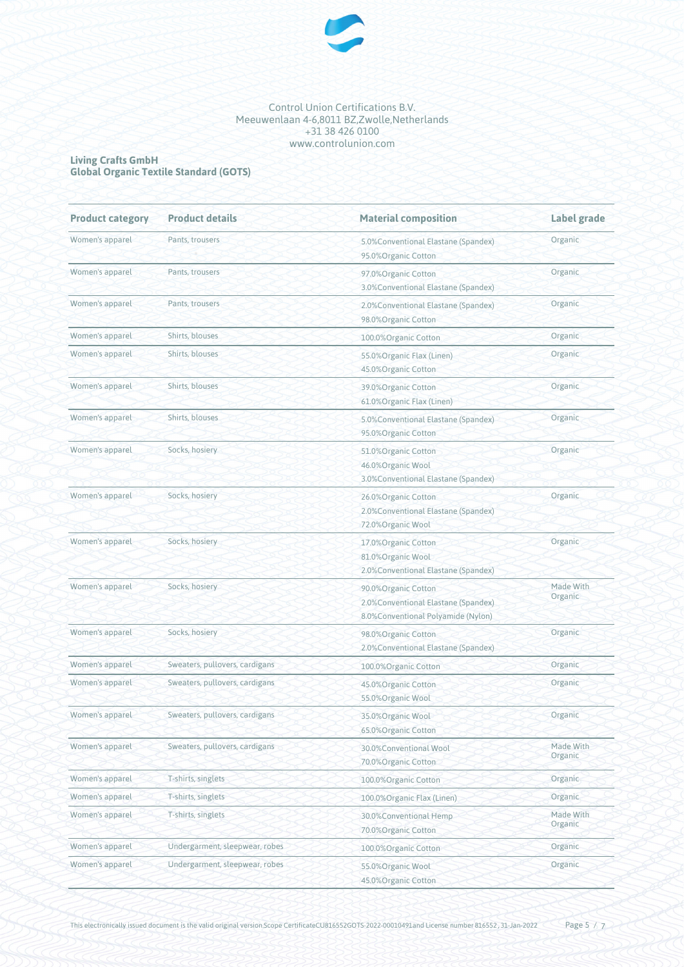

#### **Living Crafts GmbH Global Organic Textile Standard (GOTS)**

| <b>Product category</b> | <b>Product details</b>         | <b>Material composition</b>                                                                       | Label grade          |
|-------------------------|--------------------------------|---------------------------------------------------------------------------------------------------|----------------------|
| Women's apparel         | Pants, trousers                | 5.0%Conventional Elastane (Spandex)<br>95.0%Organic Cotton                                        | Organic              |
| Women's apparel         | Pants, trousers                | 97.0%Organic Cotton<br>3.0% Conventional Elastane (Spandex)                                       | Organic              |
| Women's apparel         | Pants, trousers                | 2.0% Conventional Elastane (Spandex)<br>98.0%Organic Cotton                                       | Organic              |
| Women's apparel         | Shirts, blouses                | 100.0%Organic Cotton                                                                              | Organic              |
| Women's apparel         | Shirts, blouses                | 55.0%Organic Flax (Linen)<br>45.0% Organic Cotton                                                 | Organic              |
| Women's apparel         | Shirts, blouses                | 39.0%Organic Cotton<br>61.0% Organic Flax (Linen)                                                 | Organic              |
| Women's apparel         | Shirts, blouses                | 5.0% Conventional Elastane (Spandex)<br>95.0%Organic Cotton                                       | Organic              |
| Women's apparel         | Socks, hosiery                 | 51.0%Organic Cotton<br>46.0%Organic Wool<br>3.0% Conventional Elastane (Spandex)                  | Organic              |
| Women's apparel         | Socks, hosiery                 | 26.0%Organic Cotton<br>2.0%Conventional Elastane (Spandex)<br>72.0%Organic Wool                   | Organic              |
| Women's apparel         | Socks, hosiery                 | 17.0%Organic Cotton<br>81.0%Organic Wool<br>2.0% Conventional Elastane (Spandex)                  | Organic              |
| Women's apparel         | Socks, hosiery                 | 90.0%Organic Cotton<br>2.0% Conventional Elastane (Spandex)<br>8.0%Conventional Polyamide (Nylon) | Made With<br>Organic |
| Women's apparel         | Socks, hosiery                 | 98.0% Organic Cotton<br>2.0%Conventional Elastane (Spandex)                                       | Organic              |
| Women's apparel         | Sweaters, pullovers, cardigans | 100.0%Organic Cotton                                                                              | Organic              |
| Women's apparel         | Sweaters, pullovers, cardigans | 45.0%Organic Cotton<br>55.0%Organic Wool                                                          | Organic              |
| Women's apparel         | Sweaters, pullovers, cardigans | 35.0% Organic Wool<br>65.0%Organic Cotton                                                         | Organic              |
| Women's apparel         | Sweaters, pullovers, cardigans | 30.0%Conventional Wool<br>70.0% Organic Cotton                                                    | Made With<br>Organic |
| Women's apparel         | T-shirts, singlets             | 100.0%Organic Cotton                                                                              | Organic              |
| Women's apparel         | T-shirts, singlets             | 100.0%Organic Flax (Linen)                                                                        | Organic              |
| Women's apparel         | T-shirts, singlets             | 30.0%Conventional Hemp<br>70.0%Organic Cotton                                                     | Made With<br>Organic |
| Women's apparel         | Undergarment, sleepwear, robes | 100.0%Organic Cotton                                                                              | Organic              |
| Women's apparel         | Undergarment, sleepwear, robes | 55.0%Organic Wool<br>45.0% Organic Cotton                                                         | Organic              |

This electronically issued document is the valid original version.Scope CertificateCU816552GOTS-2022-00010491and License number 816552, 31-Jan-2022 Page 5 / 7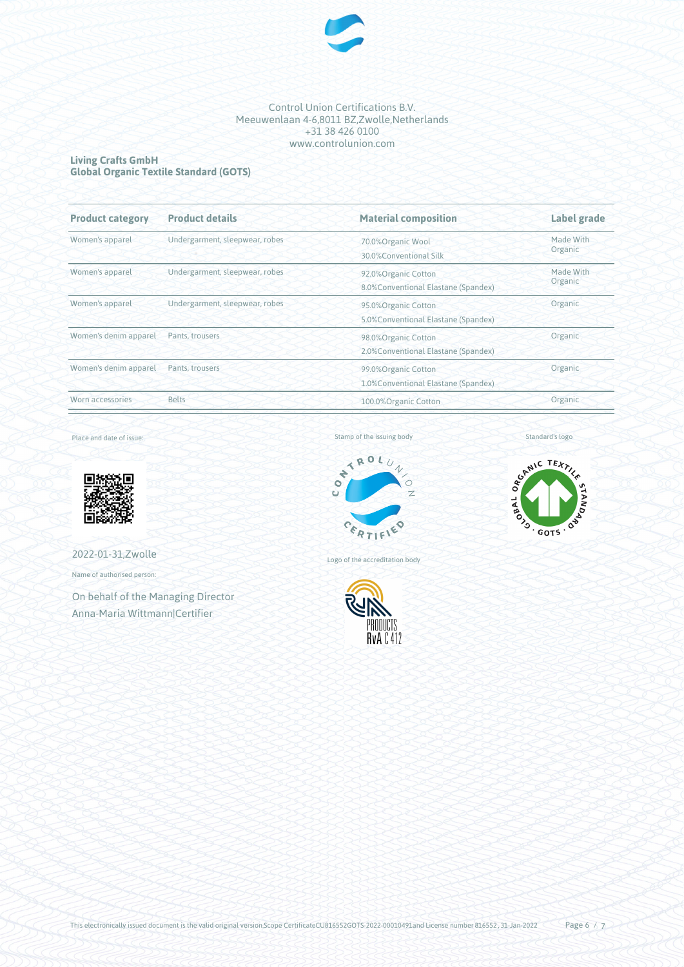

# **Living Crafts GmbH Global Organic Textile Standard (GOTS)**

| <b>Product category</b> | <b>Product details</b>         | <b>Material composition</b>                                            | Label grade          |
|-------------------------|--------------------------------|------------------------------------------------------------------------|----------------------|
| Women's apparel         | Undergarment, sleepwear, robes | 70.0%Organic Wool<br>30.0%Conventional Silk                            | Made With<br>Organic |
| Women's apparel         | Undergarment, sleepwear, robes | 92.0%Organic Cotton<br>8.0% Conventional Elastane (Spandex)            | Made With<br>Organic |
| Women's apparel         | Undergarment, sleepwear, robes | 95.0%Organic Cotton<br>5.0% Conventional Elastane (Spandex)            | Organic              |
| Women's denim apparel   | Pants, trousers                | Organic<br>98.0%Organic Cotton<br>2.0% Conventional Elastane (Spandex) |                      |
| Women's denim apparel   | Pants, trousers                | 99.0% Organic Cotton<br>1.0%Conventional Elastane (Spandex)            | Organic              |
| Worn accessories        | <b>Belts</b>                   | 100.0%Organic Cotton                                                   | Organic              |

Place and date of issue:



2022-01-31,Zwolle

Name of authorised person:

On behalf of the Managing Director Anna-Maria Wittmann|Certifier

Stamp of the issuing body



Logo of the accreditation body



Standard's logo